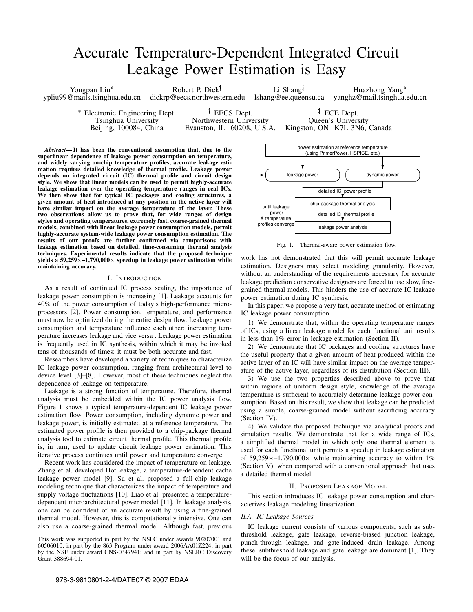# Accurate Temperature-Dependent Integrated Circuit Leakage Power Estimation is Easy

ypliu99@mails.tsinghua.edu.cn dickrp@eecs.northwestern.edu

Yongpan Liu<sup>\*</sup> Robert P. Dick<sup>†</sup> Li Shang<sup>‡</sup> Huazhong Yang<sup>\*</sup> Huazhong Tang<sup>\*</sup> Robert P. Dick<sup>†</sup> Li Shang (2008) Huazhong Yang Ruazhong Yang P. Alikang @ee.queensu.ca yanghz@mail.tsinghua.edu.cn

Tsinghua University<br>
Beijing, 100084, China Evanston, IL 60208, U.S.A.

\* Electronic Engineering Dept.  $\begin{array}{cc} \dagger \\ \n\end{array}$  EECS Dept.  $\begin{array}{cc} \n\end{array}$   $\begin{array}{cc} \n\end{array}$  EECE Dept.  $\begin{array}{cc} \n\end{array}$  EECE Dept.  $\begin{array}{cc} \n\end{array}$  Singhua University Northwestern University Queen's University

Kingston, ON K7L 3N6, Canada

*Abstract*— It has been the conventional assumption that, due to the superlinear dependence of leakage power consumption on temperature, and widely varying on-chip temperature profiles, accurate leakage estimation requires detailed knowledge of thermal profile. Leakage power depends on integrated circuit (IC) thermal profile and circuit design style. We show that linear models can be used to permit highly-accurate leakage estimation over the operating temperature ranges in real ICs. We then show that for typical IC packages and cooling structures, a given amount of heat introduced at any position in the active layer will have similar impact on the average temperature of the layer. These two observations allow us to prove that, for wide ranges of design styles and operating temperatures, extremely fast, coarse-grained thermal models, combined with linear leakage power consumption models, permit highly-accurate system-wide leakage power consumption estimation. The results of our proofs are further confirmed via comparisons with leakage estimation based on detailed, time-consuming thermal analysis techniques. Experimental results indicate that the proposed technique yields a 59,259 $\times$ –1,790,000 $\times$  speedup in leakage power estimation while maintaining accuracy.

#### I. INTRODUCTION

As a result of continued IC process scaling, the importance of leakage power consumption is increasing [1]. Leakage accounts for 40% of the power consumption of today's high-performance microprocessors [2]. Power consumption, temperature, and performance must now be optimized during the entire design flow. Leakage power consumption and temperature influence each other: increasing temperature increases leakage and vice versa . Leakage power estimation is frequently used in IC synthesis, within which it may be invoked tens of thousands of times: it must be both accurate and fast.

Researchers have developed a variety of techniques to characterize IC leakage power consumption, ranging from architectural level to device level [3]–[8]. However, most of these techniques neglect the dependence of leakage on temperature.

Leakage is a strong function of temperature. Therefore, thermal analysis must be embedded within the IC power analysis flow. Figure 1 shows a typical temperature-dependent IC leakage power estimation flow. Power consumption, including dynamic power and leakage power, is initially estimated at a reference temperature. The estimated power profile is then provided to a chip-package thermal analysis tool to estimate circuit thermal profile. This thermal profile is, in turn, used to update circuit leakage power estimation. This iterative process continues until power and temperature converge.

Recent work has considered the impact of temperature on leakage. Zhang et al. developed HotLeakage, a temperature-dependent cache leakage power model [9]. Su et al. proposed a full-chip leakage modeling technique that characterizes the impact of temperature and supply voltage fluctuations [10]. Liao et al. presented a temperaturedependent microarchitectural power model [11]. In leakage analysis, one can be confident of an accurate result by using a fine-grained thermal model. However, this is computationally intensive. One can also use a coarse-grained thermal model. Although fast, previous

This work was supported in part by the NSFC under awards 90207001 and 60506010; in part by the 863 Program under award 2006AA01Z224; in part by the NSF under award CNS-0347941; and in part by NSERC Discovery Grant 388694-01.



Fig. 1. Thermal-aware power estimation flow.

work has not demonstrated that this will permit accurate leakage estimation. Designers may select modeling granularity. However, without an understanding of the requirements necessary for accurate leakage prediction conservative designers are forced to use slow, finegrained thermal models. This hinders the use of accurate IC leakage power estimation during IC synthesis.

In this paper, we propose a very fast, accurate method of estimating IC leakage power consumption.

1) We demonstrate that, within the operating temperature ranges of ICs, using a linear leakage model for each functional unit results in less than 1% error in leakage estimation (Section II).

2) We demonstrate that IC packages and cooling structures have the useful property that a given amount of heat produced within the active layer of an IC will have similar impact on the average temperature of the active layer, regardless of its distribution (Section III).

3) We use the two properties described above to prove that within regions of uniform design style, knowledge of the average temperature is sufficient to accurately determine leakage power consumption. Based on this result, we show that leakage can be predicted using a simple, coarse-grained model without sacrificing accuracy (Section IV).

4) We validate the proposed technique via analytical proofs and simulation results. We demonstrate that for a wide range of ICs, a simplified thermal model in which only one thermal element is used for each functional unit permits a speedup in leakage estimation of  $59,259 \times -1,790,000 \times$  while maintaining accuracy to within 1% (Section V), when compared with a conventional approach that uses a detailed thermal model.

#### II. PROPOSED LEAKAGE MODEL

This section introduces IC leakage power consumption and characterizes leakage modeling linearization.

## *II.A. IC Leakage Sources*

IC leakage current consists of various components, such as subthreshold leakage, gate leakage, reverse-biased junction leakage, punch-through leakage, and gate-induced drain leakage. Among these, subthreshold leakage and gate leakage are dominant [1]. They will be the focus of our analysis.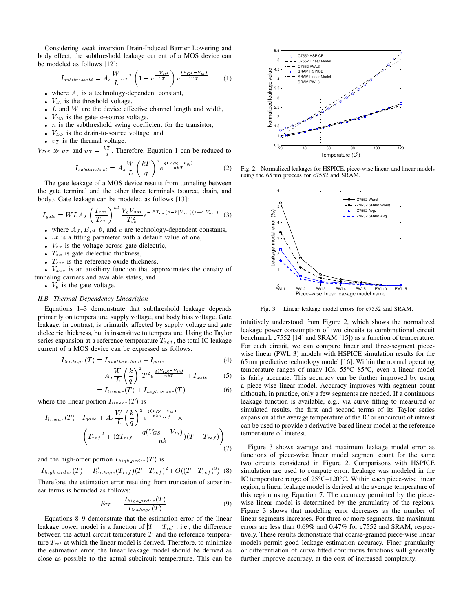Considering weak inversion Drain-Induced Barrier Lowering and body effect, the subthreshold leakage current of a MOS device can be modeled as follows [12]:  $-V_{DS}$  $\frac{(V_{GS} - V_{th})}{\frac{V_{GS} - V_{th}}{V_{tot}}}$ 

$$
I_{subthreshold} = A_s \frac{W}{L} v_T^2 \left( 1 - e^{\frac{-V_{DS}}{v_T}} \right) e^{\frac{(V_{GS} - V_{th})}{n v_T}} \tag{1}
$$

- where  $A_s$  is a technology-dependent constant,
- $V_{th}$  is the threshold voltage,
- $\bullet$  *L* and *W* are the device effective channel length and width,
- $V_{GS}$  is the gate-to-source voltage,
- $\bullet$  *n* is the subthreshold swing coefficient for the transistor,
- $V_{DS}$  is the drain-to-source voltage, and
- $v_T$  is the thermal voltage.

 $V_{DS} \gg v_T$  and  $v_T = \frac{kT}{q}$ . Therefore, Equation 1 can be reduced to

$$
I_{subthreshold} = A_s \frac{W}{L} \left(\frac{kT}{q}\right)^2 e^{\frac{q(V_{GS} - V_{th})}{nkT}}
$$
(2)

The gate leakage of a MOS device results from tunneling between the gate terminal and the other three terminals (source, drain, and body). Gate leakage can be modeled as follows [13]:

$$
I_{gate} = WLA_J \left(\frac{T_{oxr}}{T_{ox}}\right)^{nt} \frac{V_g V_{aux}}{T_{ox}^2} e^{-BT_{ox}(a-b|V_{ox}|)(1+c|V_{ox}|)}
$$
(3)

- where  $A_J, B, a, b$ , and  $c$  are technology-dependent constants,
- $\bullet$  *nt* is a fitting parameter with a default value of one,
- $V_{ox}$  is the voltage across gate dielectric,
- $\bullet$   $T_{ox}$  is gate dielectric thickness,
- $T_{\text{corr}}$  is the reference oxide thickness,

•  $V_{aux}$  is an auxiliary function that approximates the density of tunneling carriers and available states, and

•  $V_q$  is the gate voltage.

### *II.B. Thermal Dependency Linearizion*

Equations 1–3 demonstrate that subthreshold leakage depends primarily on temperature, supply voltage, and body bias voltage. Gate leakage, in contrast, is primarily affected by supply voltage and gate dielectric thickness, but is insensitive to temperature. Using the Taylor series expansion at a reference temperature  $T_{ref}$ , the total IC leakage current of a MOS device can be expressed as follows:

$$
I_{leakage}(T) = I_{subthreshold} + I_{gate}
$$
\n
$$
W \left( k \right)^2 \underset{S \to 2}{}^2 \frac{q(V_{GS} - V_{th})}{q(V_{GS} - V_{th})} \tag{4}
$$

$$
=A_s \frac{W}{L} \left(\frac{k}{q}\right)^2 T^2 e^{\frac{q(V_{GS} - V_{th})}{nkT}} + I_{gate} \tag{5}
$$

$$
= I_{linear}(T) + I_{high\text{-}order}(T) \tag{6}
$$

where the linear portion  $I_{linear}(T)$  is

here the linear portion 
$$
I_{linear}(T)
$$
 is  
\n
$$
I_{linear}(T) = I_{gate} + A_s \frac{W}{L} \left(\frac{k}{q}\right)^2 e^{\frac{q(V_{GS} - V_{th})}{nkT_{ref}}} \times \left(T_{ref}^2 + (2T_{ref} - \frac{q(V_{GS} - V_{th})}{nk})(T - T_{ref})\right)
$$
\n(7)

and the high-order portion  $I_{high\_order}(T)$  is

$$
I_{high\_order}(T) = I_{leakage}'(T_{ref})(T - T_{ref})^2 + O((T - T_{ref})^3)
$$
 (8)  
Therefore, the estimation error resulting from truncation of superlin-

ear terms is bounded as follows:

$$
Err = \left| \frac{I_{high\_order}(T)}{I_{leakage}(T)} \right| \tag{9}
$$

Equations 8–9 demonstrate that the estimation error of the linear leakage power model is a function of  $|T - T_{ref}|$ , i.e., the difference between the actual circuit temperature  $T$  and the reference temperature  $T_{ref}$  at which the linear model is derived. Therefore, to minimize the estimation error, the linear leakage model should be derived as close as possible to the actual subcircuit temperature. This can be



Fig. 2. Normalized leakages for HSPICE, piece-wise linear, and linear models using the 65 nm process for c7552 and SRAM.



Fig. 3. Linear leakage model errors for c7552 and SRAM.

intuitively understood from Figure 2, which shows the normalized leakage power consumption of two circuits (a combinational circuit benchmark c7552 [14] and SRAM [15]) as a function of temperature. For each circuit, we can compare linear and three-segment piecewise linear (PWL 3) models with HSPICE simulation results for the 65 nm predictive technology model [16]. Within the normal operating temperature ranges of many ICs, 55°C–85°C, even a linear model is fairly accurate. This accuracy can be further improved by using a piece-wise linear model. Accuracy improves with segment count although, in practice, only a few segments are needed. If a continuous leakage function is available, e.g., via curve fitting to measured or simulated results, the first and second terms of its Taylor series expansion at the average temperature of the IC or subcircuit of interest can be used to provide a derivative-based linear model at the reference temperature of interest.

Figure 3 shows average and maximum leakage model error as functions of piece-wise linear model segment count for the same two circuits considered in Figure 2. Comparisons with HSPICE simulation are used to compute error. Leakage was modeled in the IC temperature range of 25°C–120°C. Within each piece-wise linear region, a linear leakage model is derived at the average temperature of this region using Equation 7. The accuracy permitted by the piecewise linear model is determined by the granularity of the regions. Figure 3 shows that modeling error decreases as the number of linear segments increases. For three or more segments, the maximum errors are less than 0.69% and 0.47% for c7552 and SRAM, respectively. These results demonstrate that coarse-grained piece-wise linear models permit good leakage estimation accuracy. Finer granularity or differentiation of curve fitted continuous functions will generally further improve accuracy, at the cost of increased complexity.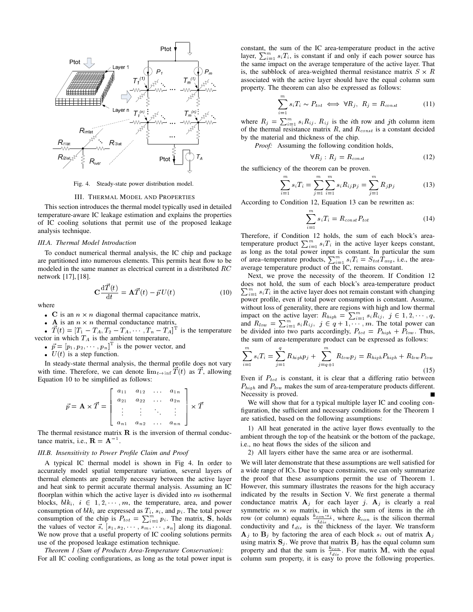

Fig. 4. Steady-state power distribution model.

#### III. THERMAL MODEL AND PROPERTIES

This section introduces the thermal model typically used in detailed temperature-aware IC leakage estimation and explains the properties of IC cooling solutions that permit use of the proposed leakage analysis technique.

#### *III.A. Thermal Model Introduction*

To conduct numerical thermal analysis, the IC chip and package are partitioned into numerous elements. This permits heat flow to be modeled in the same manner as electrical current in a distributed  $RC$ network [17], [18].

$$
\mathbf{C}\frac{\mathrm{d}\vec{T}(t)}{\mathrm{d}t} = \mathbf{A}\vec{T}(t) - \vec{p}U(t) \tag{10}
$$

where

- $\bf{C}$  is an  $n \times n$  diagonal thermal capacitance matrix,
- A is an  $n \times n$  thermal conductance matrix,

•  $\vec{T}(t) = [T_1 - T_A, T_2 - T_A, \cdots, T_n - T_A]^T$  is the temperature vector in which  $T_A$  is the ambient temperature,

•  $\vec{p} = [p_1, p_2, \cdots, p_n]^T$  is the power vector, and

•  $U(t)$  is a step function.

In steady-state thermal analysis, the thermal profile does not vary with time. Therefore, we can denote  $\lim_{t\to \inf} \overline{T}(t)$  as  $\overline{T}$ , allowing Equation 10 to be simplified as follows:

$$
\vec{p} = \mathbf{A} \times \vec{T} = \begin{bmatrix} a_{11} & a_{12} & \dots & a_{1n} \\ a_{21} & a_{22} & \dots & a_{2n} \\ \vdots & \vdots & \ddots & \vdots \\ a_{n1} & a_{n2} & \dots & a_{nn} \end{bmatrix} \times \vec{T}
$$

The thermal resistance matrix  $\bf{R}$  is the inversion of thermal conductance matrix, i.e.,  $\mathbf{R} = \mathbf{A}^{-1}$ .

#### *III.B. Insensitivity to Power Profile Claim and Proof*

A typical IC thermal model is shown in Fig 4. In order to accurately model spatial temperature variation, several layers of thermal elements are generally necessary between the active layer and heat sink to permit accurate thermal analysis. Assuming an IC floorplan within which the active layer is divided into  $m$  isothermal blocks,  $blk_i, i \in 1, 2, \dots, m$ , the temperature, area, and power consumption of  $blk_i$  are expressed as  $T_i$ ,  $s_i$ , and  $p_i$ . The total power consumption of the chip is  $P_{tot} = \sum_{i=1}^{m} p_i$ . The matrix, **S**, holds the values of vector  $\vec{s}$ ,  $[s_1, s_2, \cdots, s_m, \cdots, s_n]$  along its diagonal. We now prove that a useful property of IC cooling solutions permits use of the proposed leakage estimation technique.

*Theorem 1 (Sum of Products Area-Temperature Conservation):* For all IC cooling configurations, as long as the total power input is

constant, the sum of the IC area-temperature product in the active layer,  $\sum_{i=1}^{m} s_i T_i$ , is constant if and only if each power source has the same impact on the average temperature of the active layer. That is, the subblock of area-weighted thermal resistance matrix  $S \times R$ associated with the active layer should have the equal column sum property. The theorem can also be expressed as follows:

$$
\sum_{i=1}^{m} s_i T_i \sim P_{tot} \iff \forall R_j, \ R_j = R_{const}
$$
 (11)

where  $R_j = \sum_{i=1}^m s_i R_{ij}$ .  $R_{ij}$  is the *i*th row and *j*th column item of the thermal resistance matrix  $R$ , and  $R_{const}$  is a constant decided by the material and thickness of the chip.

*Proof:* Assuming the following condition holds,

$$
\forall R_j : R_j = R_{const} \tag{12}
$$

the sufficiency of the theorem can be proven.

$$
\sum_{i=1}^{m} s_i T_i = \sum_{j=1}^{m} \sum_{i=1}^{m} s_i R_{ij} p_j = \sum_{j=1}^{m} R_j p_j \tag{13}
$$

According to Condition 12, Equation 13 can be rewritten as:

$$
\sum_{i=1}^{m} s_i T_i = R_{const} P_{tot}
$$
\n(14)

Therefore, if Condition 12 holds, the sum of each block's areatemperature product  $\sum_{i=1}^{m} s_i T_i$  in the active layer keeps constant, as long as the total power input is constant. In particular the sum of area–temperature products,  $\sum_{i=1}^{m} s_i T_i = S_{tot} T_{avg}$ , i.e., the areaaverage temperature product of the IC, remains constant.

Next, we prove the necessity of the theorem. If Condition 12 does not hold, the sum of each block's area-temperature product  $\sum_{i=1}^{m} s_i T_i$  in the active layer does not remain constant with changing power profile, even if total power consumption is constant. Assume, without loss of generality, there are regions with high and low thermal impact on the active layer:  $R_{high} = \sum_{i=1}^{m} s_i R_{ij}, \ j \in 1, 2, \cdots, q$ , and  $R_{low} = \sum_{i=1}^{m} s_i R_{ij}, \; j \in [q+1, \ldots, m]$ . The total power can be divided into two parts accordingly,  $P_{tot} = P_{high} + P_{low}$ . Thus, the sum of area-temperature product can be expressed as follows:

$$
\sum_{i=1}^{m} s_i T_i = \sum_{j=1}^{q} R_{high} p_j + \sum_{j=q+1}^{m} R_{low} p_j = R_{high} P_{high} + R_{low} P_{low}
$$
\n(15)

Even if  $P_{tot}$  is constant, it is clear that a differing ratio between  $P_{high}$  and  $P_{low}$  makes the sum of area-temperature products different. Necessity is proved.

We will show that for a typical multiple layer IC and cooling configuration, the sufficient and necessary conditions for the Theorem 1 are satisfied, based on the following assumptions:

1) All heat generated in the active layer flows eventually to the ambient through the top of the heatsink or the bottom of the package, i.e., no heat flows the sides of the silicon and

2) All layers either have the same area or are isothermal.

We will later demonstrate that these assumptions are well satisfied for a wide range of ICs. Due to space constraints, we can only summarize the proof that these assumptions permit the use of Theorem 1. However, this summary illustrates the reasons for the high accuracy indicated by the results in Section V. We first generate a thermal conductance matrix  $A_j$  for each layer j.  $A_j$  is clearly a real symmetric  $m \times m$  matrix, in which the sum of items in the *i*th row (or column) equals  $\frac{k_{con} s_i}{t_{die}}$ , where  $k_{con}$  is the silicon thermal conductivity and  $t_{die}$  is the thickness of the layer. We transform  $A_i$  to  $B_i$  by factoring the area of each block  $s_i$  out of matrix  $A_i$ using matrix  $\mathbf{S}_i$ . We prove that matrix  $\mathbf{B}_i$  has the equal column sum property and that the sum is  $\frac{k_{con}}{t_{die}}$ . For matrix **M**, with the equal column sum property, it is easy to prove the following properties.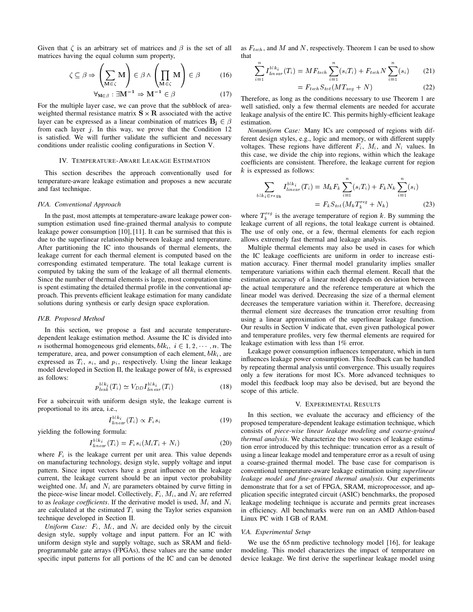Given that  $\zeta$  is an arbitrary set of matrices and  $\beta$  is the set of all matrices having the equal column sum property,

$$
\subseteq \beta \Rightarrow \left(\sum_{\mathbf{M} \in \zeta} \mathbf{M}\right) \in \beta \land \left(\prod_{\mathbf{M} \in \zeta} \mathbf{M}\right) \in \beta \tag{16}
$$

$$
\forall_{M \in \beta} : \exists M^{-1} \Rightarrow M^{-1} \in \beta \tag{17}
$$

For the multiple layer case, we can prove that the subblock of areaweighted thermal resistance matrix  $\mathbf{S} \times \mathbf{R}$  associated with the active layer can be expressed as a linear combination of matrices  $\mathbf{B}_i \in \beta$ from each layer  $j$ . In this way, we prove that the Condition 12 is satisfied. We will further validate the sufficient and necessary conditions under realistic cooling configurations in Section V.

#### IV. TEMPERATURE-AWARE LEAKAGE ESTIMATION

This section describes the approach conventionally used for temperature-aware leakage estimation and proposes a new accurate and fast technique.

#### *IV.A. Conventional Approach*

 $\zeta$ 

In the past, most attempts at temperature-aware leakage power consumption estimation used fine-grained thermal analysis to compute leakage power consumption [10], [11]. It can be surmised that this is due to the superlinear relationship between leakage and temperature. After partitioning the IC into thousands of thermal elements, the leakage current for each thermal element is computed based on the corresponding estimated temperature. The total leakage current is computed by taking the sum of the leakage of all thermal elements. Since the number of thermal elements is large, most computation time is spent estimating the detailed thermal profile in the conventional approach. This prevents efficient leakage estimation for many candidate solutions during synthesis or early design space exploration.

#### *IV.B. Proposed Method*

In this section, we propose a fast and accurate temperaturedependent leakage estimation method. Assume the IC is divided into *n* isothermal homogeneous grid elements,  $blk_i, i \in 1, 2, \dots, n$ . The temperature, area, and power consumption of each element,  $blk_i$ , are expressed as  $T_i$ ,  $s_i$ , and  $p_i$ , respectively. Using the linear leakage model developed in Section II, the leakage power of  $blk_i$  is expressed as follows:

$$
p_{\text{leak}}^{blk_i}(T_i) \simeq V_{DD} I_{\text{linear}}^{blk_i}(T_i)
$$
\n(18)

For a subcircuit with uniform design style, the leakage current is proportional to its area, i.e.,

$$
I_{linear}^{blk} (T_i) \propto F_i s_i \tag{19}
$$

yielding the following formula:

$$
I_{linear}^{blk} (T_i) = F_i s_i (M_i T_i + N_i)
$$
\n(20)

where  $F_i$  is the leakage current per unit area. This value depends on manufacturing technology, design style, supply voltage and input pattern. Since input vectors have a great influence on the leakage current, the leakage current should be an input vector probability weighted one.  $M_i$  and  $N_i$  are parameters obtained by curve fitting in the piece-wise linear model. Collectively,  $F_i$ ,  $M_i$ , and  $N_i$  are referred to as *leakage coefficients*. If the derivative model is used,  $M_i$  and  $N_i$ are calculated at the estimated  $T_i$  using the Taylor series expansion technique developed in Section II.

*Uniform Case:*  $F_i$ ,  $M_i$ , and  $N_i$  are decided only by the circuit design style, supply voltage and input pattern. For an IC with uniform design style and supply voltage, such as SRAM and fieldprogrammable gate arrays (FPGAs), these values are the same under specific input patterns for all portions of the IC and can be denoted as  $F_{tech}$ , and M and N, respectively. Theorem 1 can be used to show that

$$
\sum_{i=1}^{n} I_{linear}^{blk_i}(T_i) = M F_{tech} \sum_{i=1}^{n} (s_i T_i) + F_{tech} N \sum_{i=1}^{n} (s_i)
$$
 (21)

$$
= F_{tech} S_{tot} (MT_{avg} + N) \tag{22}
$$

Therefore, as long as the conditions necessary to use Theorem 1 are well satisfied, only a few thermal elements are needed for accurate leakage analysis of the entire IC. This permits highly-efficient leakage estimation.

*Nonuniform Case:* Many ICs are composed of regions with different design styles, e.g., logic and memory, or with different supply voltages. These regions have different  $F_i$ ,  $M_i$ , and  $N_i$  values. In this case, we divide the chip into regions, within which the leakage coefficients are consistent. Therefore, the leakage current for region  $k$  is expressed as follows:

$$
\sum_{blk_i \in reg_k} I_{linear}^{blk_i}(T_i) = M_k F_k \sum_{i=1}^n (s_i T_i) + F_k N_k \sum_{i=1}^n (s_i)
$$
  
=  $F_k S_{tot}(M_k T_k^{reg} + N_k)$  (23)

where  $T_k^{reg}$  is the average temperature of region k. By summing the leakage current of all regions, the total leakage current is obtained. The use of only one, or a few, thermal elements for each region allows extremely fast thermal and leakage analysis.

Multiple thermal elements may also be used in cases for which the IC leakage coefficients are uniform in order to increase estimation accuracy. Finer thermal model granularity implies smaller temperature variations within each thermal element. Recall that the estimation accuracy of a linear model depends on deviation between the actual temperature and the reference temperature at which the linear model was derived. Decreasing the size of a thermal element decreases the temperature variation within it. Therefore, decreasing thermal element size decreases the truncation error resulting from using a linear approximation of the superlinear leakage function. Our results in Section V indicate that, even given pathological power and temperature profiles, very few thermal elements are required for leakage estimation with less than 1% error.

Leakage power consumption influences temperature, which in turn influences leakage power consumption. This feedback can be handled by repeating thermal analysis until convergence. This usually requires only a few iterations for most ICs. More advanced techniques to model this feedback loop may also be devised, but are beyond the scope of this article.

#### V. EXPERIMENTAL RESULTS

In this section, we evaluate the accuracy and efficiency of the proposed temperature-dependent leakage estimation technique, which consists of *piece-wise linear leakage modeling and coarse-grained thermal analysis*. We characterize the two sources of leakage estimation error introduced by this technique: truncation error as a result of using a linear leakage model and temperature error as a result of using a coarse-grained thermal model. The base case for comparison is conventional temperature-aware leakage estimation using *superlinear leakage model and fine-grained thermal analysis*. Our experiments demonstrate that for a set of FPGA, SRAM, microprocessor, and application specific integrated circuit (ASIC) benchmarks, the proposed leakage modeling technique is accurate and permits great increases in efficiency. All benchmarks were run on an AMD Athlon-based Linux PC with 1 GB of RAM.

#### *V.A. Experimental Setup*

We use the 65 nm predictive technology model [16], for leakage modeling. This model characterizes the impact of temperature on device leakage. We first derive the superlinear leakage model using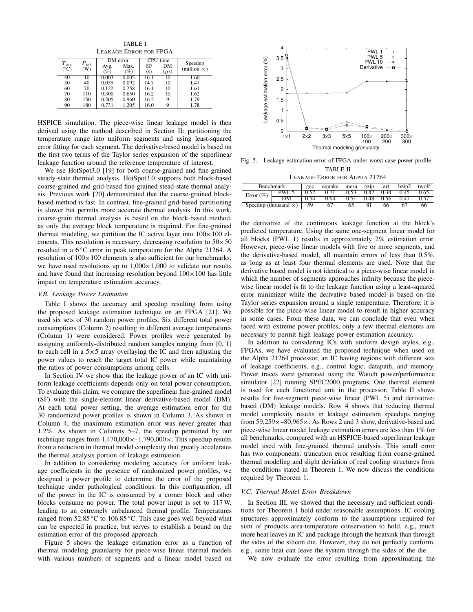TABLE I LEAKAGE ERROR FOR FPGA

| $T_{\it{ava}}$<br>$(^{\circ}C)$ | $P_{tot}$<br>(W) | $DM$ error<br>Max.<br>Avg.<br>$(\%)$<br>(%) |       | <b>CPU</b> time<br>SF<br>DM<br>$(\mu s)$<br>(s) |    | Speedup<br>(million $\times$ ) |  |
|---------------------------------|------------------|---------------------------------------------|-------|-------------------------------------------------|----|--------------------------------|--|
| 40                              | 10               | 0.003                                       | 0.005 | 16.1                                            | 10 | 1.60                           |  |
| 50                              | 40               | 0.039                                       | 0.092 | 14.7                                            | 10 | 1.47                           |  |
| 60                              | 70               | 0.122                                       | 0.258 | 16.1                                            | 10 | 1.61                           |  |
| 70                              | 110              | 0.300                                       | 0.650 | 16.2                                            | 10 | 1.62                           |  |
| 80                              | 150              | 0.505                                       | 0.960 | 16.2                                            | 9  | 1.79                           |  |
| 90                              | 180              | 0.731                                       | 1.205 | 16.0                                            |    | 1.78                           |  |

HSPICE simulation. The piece-wise linear leakage model is then derived using the method described in Section II: partitioning the temperature range into uniform segments and using least-squared error fitting for each segment. The derivative-based model is based on the first two terms of the Taylor series expansion of the superlinear leakage function around the reference temperature of interest.

We use HotSpot3.0 [19] for both coarse-grained and fine-grained steady-state thermal analysis. HotSpot3.0 supports both block-based coarse-grained and grid-based fine-grained stead-state thermal analysis. Previous work [20] demonstrated that the coarse-grained blockbased method is fast. In contrast, fine-grained grid-based partitioning is slower but permits more accurate thermal analysis. In this work, coarse-grain thermal analysis is based on the block-based method, as only the average block temperature is required. For fine-grained thermal modeling, we partition the IC active layer into  $100 \times 100$  elements. This resolution is necessary; decreasing resolution to  $50 \times 50$ resulted in a 6 °C error in peak temperature for the Alpha 21264. A resolution of  $100 \times 100$  elements is also sufficient for our benchmarks; we have used resolutions up to  $1,000 \times 1,000$  to validate our results and have found that increasing resolution beyond  $100 \times 100$  has little impact on temperature estimation accuracy.

#### *V.B. Leakage Power Estimation*

Table I shows the accuracy and speedup resulting from using the proposed leakage estimation technique on an FPGA [21]. We used six sets of 30 random power profiles. Six different total power consumptions (Column 2) resulting in different average temperatures (Column 1) were considered. Power profiles were generated by assigning uniformly-distributed random samples ranging from [0, 1] to each cell in a  $5 \times 5$  array overlaying the IC and then adjusting the power values to reach the target total IC power while maintaining the ratios of power consumptions among cells.

In Section IV we show that the leakage power of an IC with uniform leakage coefficients depends only on total power consumption. To evaluate this claim, we compare the superlinear fine-grained model (SF) with the single-element linear derivative-based model (DM). At each total power setting, the average estimation error for the 30 randomized power profiles is shown in Column 3. As shown in Column 4, the maximum estimation error was never greater than 1.2%. As shown in Columns 5–7, the speedup permitted by our technique ranges from  $1,470,000 \times -1,790,000 \times$ . This speedup results from a reduction in thermal model complexity that greatly accelerates the thermal analysis portion of leakage estimation.

In addition to considering modeling accuracy for uniform leakage coefficients in the presence of randomized power profiles, we designed a power profile to determine the error of the proposed technique under pathological conditions. In this configuration, all of the power in the IC is consumed by a corner block and other blocks consume no power. The total power input is set to 117 W, leading to an extremely unbalanced thermal profile. Temperatures ranged from 52.85 °C to 106.85 °C. This case goes well beyond what can be expected in practice, but serves to establish a bound on the estimation error of the proposed approach.

Figure 5 shows the leakage estimation error as a function of thermal modeling granularity for piece-wise linear thermal models with various numbers of segments and a linear model based on



Fig. 5. Leakage estimation error of FPGA under worst-case power profile. TABLE II

LEAKAGE ERROR FOR ALPHA 21264

| <b>Benchmark</b>  |      | gcc  | equake | mesa | gz1D | art  | bzip2 | twolf |
|-------------------|------|------|--------|------|------|------|-------|-------|
| Error $(\% )$     | PWL. |      |        | 0.53 | 0.42 | 34   | 0 45  | 0.65  |
|                   | DM   | 0.54 | 0.64   |      | 0.48 | 0.56 | 0.47  | 0.57  |
| Speedup (thousand |      |      |        |      |      | hh   |       |       |
|                   |      |      |        |      |      |      |       |       |

the derivative of the continuous leakage function at the block's predicted temperature. Using the same one-segment linear model for all blocks (PWL 1) results in approximately 2% estimation error. However, piece-wise linear models with five or more segments, and the derivative-based model, all maintain errors of less than 0.5%, as long as at least four thermal elements are used. Note that the derivative based model is not identical to a piece-wise linear model in which the number of segments approaches infinity because the piecewise linear model is fit to the leakage function using a least-squared error minimizer while the derivative based model is based on the Taylor series expansion around a single temperature. Therefore, it is possible for the piece-wise linear model to result in higher accuracy in some cases. From these data, we can conclude that even when faced with extreme power profiles, only a few thermal elements are necessary to permit high leakage power estimation accuracy.

In addition to considering ICs with uniform design styles, e.g., FPGAs, we have evaluated the proposed technique when used on the Alpha 21264 processor, an IC having regions with different sets of leakage coefficients, e.g., control logic, datapath, and memory. Power traces were generated using the Wattch power/performance simulator [22] running SPEC2000 programs. One thermal element is used for each functional unit in the processor. Table II shows results for five-segment piece-wise linear (PWL 5) and derivativebased (DM) leakage models. Row 4 shows that reducing thermal model complexity results in leakage estimation speedups ranging from  $59,259 \times -80,965 \times$ . As Rows 2 and 3 show, derivative-based and piece-wise linear model leakage estimation errors are less than 1% for all benchmarks, compared with an HSPICE-based superlinear leakage model used with fine-grained thermal analysis. This small error has two components: truncation error resulting from coarse-grained thermal modeling and slight deviation of real cooling structures from the conditions stated in Theorem 1. We now discuss the conditions required by Theorem 1.

#### *V.C. Thermal Model Error Breakdown*

In Section III, we showed that the necessary and sufficient conditions for Theorem 1 hold under reasonable assumptions. IC cooling structures approximately conform to the assumptions required for sum of products area-temperature conservation to hold, e.g., much more heat leaves an IC and package through the heatsink than through the sides of the silicon die. However, they do not perfectly conform, e.g., some heat can leave the system through the sides of the die.

We now evaluate the error resulting from approximating the